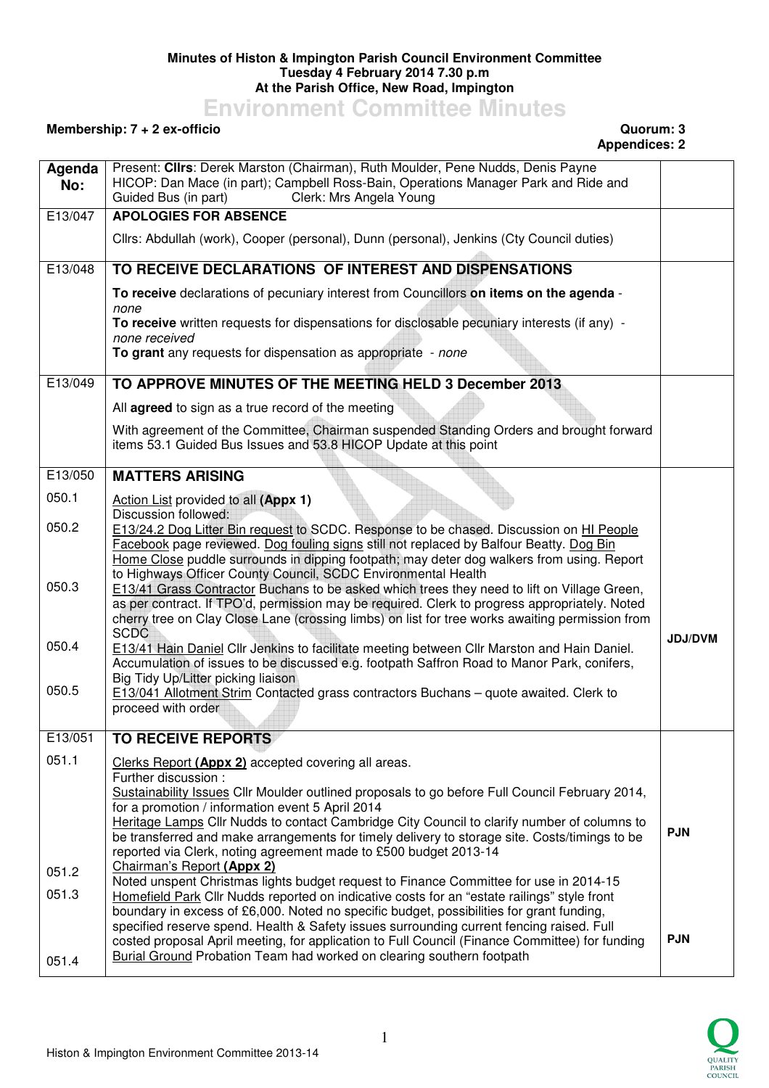## **Minutes of Histon & Impington Parish Council Environment Committee Tuesday 4 February 2014 7.30 p.m At the Parish Office, New Road, Impington**

**Environment Committee Minutes** 

## **Membership: 7 + 2 ex-officio Quorum: 3**

## **Appendices: 2**

| Clerk: Mrs Angela Young<br>Guided Bus (in part)<br><b>APOLOGIES FOR ABSENCE</b><br>Cllrs: Abdullah (work), Cooper (personal), Dunn (personal), Jenkins (Cty Council duties)<br>TO RECEIVE DECLARATIONS OF INTEREST AND DISPENSATIONS<br>To receive declarations of pecuniary interest from Councillors on items on the agenda -<br>none<br>To receive written requests for dispensations for disclosable pecuniary interests (if any) -<br>none received<br>To grant any requests for dispensation as appropriate - none<br>TO APPROVE MINUTES OF THE MEETING HELD 3 December 2013<br>All <b>agreed</b> to sign as a true record of the meeting<br>With agreement of the Committee, Chairman suspended Standing Orders and brought forward<br>items 53.1 Guided Bus Issues and 53.8 HICOP Update at this point<br><b>MATTERS ARISING</b><br>Action List provided to all (Appx 1)<br>Discussion followed:<br>050.2<br>E13/24.2 Dog Litter Bin request to SCDC. Response to be chased. Discussion on HI People<br>Facebook page reviewed. Dog fouling signs still not replaced by Balfour Beatty. Dog Bin<br>Home Close puddle surrounds in dipping footpath; may deter dog walkers from using. Report<br>to Highways Officer County Council, SCDC Environmental Health<br>E13/41 Grass Contractor Buchans to be asked which trees they need to lift on Village Green,<br>as per contract. If TPO'd, permission may be required. Clerk to progress appropriately. Noted<br>cherry tree on Clay Close Lane (crossing limbs) on list for tree works awaiting permission from<br><b>SCDC</b><br><b>JDJ/DVM</b><br>E13/41 Hain Daniel Cllr Jenkins to facilitate meeting between Cllr Marston and Hain Daniel.<br>Accumulation of issues to be discussed e.g. footpath Saffron Road to Manor Park, conifers,<br>Big Tidy Up/Litter picking liaison<br>E13/041 Allotment Strim Contacted grass contractors Buchans - quote awaited. Clerk to<br>proceed with order<br><b>TO RECEIVE REPORTS</b><br>Clerks Report (Appx 2) accepted covering all areas.<br>Further discussion:<br>Sustainability Issues Cllr Moulder outlined proposals to go before Full Council February 2014,<br>for a promotion / information event 5 April 2014<br>Heritage Lamps Cllr Nudds to contact Cambridge City Council to clarify number of columns to<br><b>PJN</b><br>be transferred and make arrangements for timely delivery to storage site. Costs/timings to be<br>reported via Clerk, noting agreement made to £500 budget 2013-14<br>Chairman's Report (Appx 2)<br>Noted unspent Christmas lights budget request to Finance Committee for use in 2014-15<br>Homefield Park Cllr Nudds reported on indicative costs for an "estate railings" style front<br>boundary in excess of £6,000. Noted no specific budget, possibilities for grant funding,<br>specified reserve spend. Health & Safety issues surrounding current fencing raised. Full | Agenda  | Present: Clirs: Derek Marston (Chairman), Ruth Moulder, Pene Nudds, Denis Payne<br>HICOP: Dan Mace (in part); Campbell Ross-Bain, Operations Manager Park and Ride and |            |
|------------------------------------------------------------------------------------------------------------------------------------------------------------------------------------------------------------------------------------------------------------------------------------------------------------------------------------------------------------------------------------------------------------------------------------------------------------------------------------------------------------------------------------------------------------------------------------------------------------------------------------------------------------------------------------------------------------------------------------------------------------------------------------------------------------------------------------------------------------------------------------------------------------------------------------------------------------------------------------------------------------------------------------------------------------------------------------------------------------------------------------------------------------------------------------------------------------------------------------------------------------------------------------------------------------------------------------------------------------------------------------------------------------------------------------------------------------------------------------------------------------------------------------------------------------------------------------------------------------------------------------------------------------------------------------------------------------------------------------------------------------------------------------------------------------------------------------------------------------------------------------------------------------------------------------------------------------------------------------------------------------------------------------------------------------------------------------------------------------------------------------------------------------------------------------------------------------------------------------------------------------------------------------------------------------------------------------------------------------------------------------------------------------------------------------------------------------------------------------------------------------------------------------------------------------------------------------------------------------------------------------------------------------------------------------------------------------------------------------------------------------------------------------------------------------------------------------------------------------------------------------------------------------------------------|---------|------------------------------------------------------------------------------------------------------------------------------------------------------------------------|------------|
|                                                                                                                                                                                                                                                                                                                                                                                                                                                                                                                                                                                                                                                                                                                                                                                                                                                                                                                                                                                                                                                                                                                                                                                                                                                                                                                                                                                                                                                                                                                                                                                                                                                                                                                                                                                                                                                                                                                                                                                                                                                                                                                                                                                                                                                                                                                                                                                                                                                                                                                                                                                                                                                                                                                                                                                                                                                                                                                              | No:     |                                                                                                                                                                        |            |
|                                                                                                                                                                                                                                                                                                                                                                                                                                                                                                                                                                                                                                                                                                                                                                                                                                                                                                                                                                                                                                                                                                                                                                                                                                                                                                                                                                                                                                                                                                                                                                                                                                                                                                                                                                                                                                                                                                                                                                                                                                                                                                                                                                                                                                                                                                                                                                                                                                                                                                                                                                                                                                                                                                                                                                                                                                                                                                                              | E13/047 |                                                                                                                                                                        |            |
|                                                                                                                                                                                                                                                                                                                                                                                                                                                                                                                                                                                                                                                                                                                                                                                                                                                                                                                                                                                                                                                                                                                                                                                                                                                                                                                                                                                                                                                                                                                                                                                                                                                                                                                                                                                                                                                                                                                                                                                                                                                                                                                                                                                                                                                                                                                                                                                                                                                                                                                                                                                                                                                                                                                                                                                                                                                                                                                              |         |                                                                                                                                                                        |            |
|                                                                                                                                                                                                                                                                                                                                                                                                                                                                                                                                                                                                                                                                                                                                                                                                                                                                                                                                                                                                                                                                                                                                                                                                                                                                                                                                                                                                                                                                                                                                                                                                                                                                                                                                                                                                                                                                                                                                                                                                                                                                                                                                                                                                                                                                                                                                                                                                                                                                                                                                                                                                                                                                                                                                                                                                                                                                                                                              | E13/048 |                                                                                                                                                                        |            |
|                                                                                                                                                                                                                                                                                                                                                                                                                                                                                                                                                                                                                                                                                                                                                                                                                                                                                                                                                                                                                                                                                                                                                                                                                                                                                                                                                                                                                                                                                                                                                                                                                                                                                                                                                                                                                                                                                                                                                                                                                                                                                                                                                                                                                                                                                                                                                                                                                                                                                                                                                                                                                                                                                                                                                                                                                                                                                                                              |         |                                                                                                                                                                        |            |
|                                                                                                                                                                                                                                                                                                                                                                                                                                                                                                                                                                                                                                                                                                                                                                                                                                                                                                                                                                                                                                                                                                                                                                                                                                                                                                                                                                                                                                                                                                                                                                                                                                                                                                                                                                                                                                                                                                                                                                                                                                                                                                                                                                                                                                                                                                                                                                                                                                                                                                                                                                                                                                                                                                                                                                                                                                                                                                                              |         |                                                                                                                                                                        |            |
|                                                                                                                                                                                                                                                                                                                                                                                                                                                                                                                                                                                                                                                                                                                                                                                                                                                                                                                                                                                                                                                                                                                                                                                                                                                                                                                                                                                                                                                                                                                                                                                                                                                                                                                                                                                                                                                                                                                                                                                                                                                                                                                                                                                                                                                                                                                                                                                                                                                                                                                                                                                                                                                                                                                                                                                                                                                                                                                              |         |                                                                                                                                                                        |            |
|                                                                                                                                                                                                                                                                                                                                                                                                                                                                                                                                                                                                                                                                                                                                                                                                                                                                                                                                                                                                                                                                                                                                                                                                                                                                                                                                                                                                                                                                                                                                                                                                                                                                                                                                                                                                                                                                                                                                                                                                                                                                                                                                                                                                                                                                                                                                                                                                                                                                                                                                                                                                                                                                                                                                                                                                                                                                                                                              | E13/049 |                                                                                                                                                                        |            |
|                                                                                                                                                                                                                                                                                                                                                                                                                                                                                                                                                                                                                                                                                                                                                                                                                                                                                                                                                                                                                                                                                                                                                                                                                                                                                                                                                                                                                                                                                                                                                                                                                                                                                                                                                                                                                                                                                                                                                                                                                                                                                                                                                                                                                                                                                                                                                                                                                                                                                                                                                                                                                                                                                                                                                                                                                                                                                                                              |         |                                                                                                                                                                        |            |
|                                                                                                                                                                                                                                                                                                                                                                                                                                                                                                                                                                                                                                                                                                                                                                                                                                                                                                                                                                                                                                                                                                                                                                                                                                                                                                                                                                                                                                                                                                                                                                                                                                                                                                                                                                                                                                                                                                                                                                                                                                                                                                                                                                                                                                                                                                                                                                                                                                                                                                                                                                                                                                                                                                                                                                                                                                                                                                                              |         |                                                                                                                                                                        |            |
|                                                                                                                                                                                                                                                                                                                                                                                                                                                                                                                                                                                                                                                                                                                                                                                                                                                                                                                                                                                                                                                                                                                                                                                                                                                                                                                                                                                                                                                                                                                                                                                                                                                                                                                                                                                                                                                                                                                                                                                                                                                                                                                                                                                                                                                                                                                                                                                                                                                                                                                                                                                                                                                                                                                                                                                                                                                                                                                              | E13/050 |                                                                                                                                                                        |            |
|                                                                                                                                                                                                                                                                                                                                                                                                                                                                                                                                                                                                                                                                                                                                                                                                                                                                                                                                                                                                                                                                                                                                                                                                                                                                                                                                                                                                                                                                                                                                                                                                                                                                                                                                                                                                                                                                                                                                                                                                                                                                                                                                                                                                                                                                                                                                                                                                                                                                                                                                                                                                                                                                                                                                                                                                                                                                                                                              | 050.1   |                                                                                                                                                                        |            |
|                                                                                                                                                                                                                                                                                                                                                                                                                                                                                                                                                                                                                                                                                                                                                                                                                                                                                                                                                                                                                                                                                                                                                                                                                                                                                                                                                                                                                                                                                                                                                                                                                                                                                                                                                                                                                                                                                                                                                                                                                                                                                                                                                                                                                                                                                                                                                                                                                                                                                                                                                                                                                                                                                                                                                                                                                                                                                                                              |         |                                                                                                                                                                        |            |
|                                                                                                                                                                                                                                                                                                                                                                                                                                                                                                                                                                                                                                                                                                                                                                                                                                                                                                                                                                                                                                                                                                                                                                                                                                                                                                                                                                                                                                                                                                                                                                                                                                                                                                                                                                                                                                                                                                                                                                                                                                                                                                                                                                                                                                                                                                                                                                                                                                                                                                                                                                                                                                                                                                                                                                                                                                                                                                                              |         |                                                                                                                                                                        |            |
|                                                                                                                                                                                                                                                                                                                                                                                                                                                                                                                                                                                                                                                                                                                                                                                                                                                                                                                                                                                                                                                                                                                                                                                                                                                                                                                                                                                                                                                                                                                                                                                                                                                                                                                                                                                                                                                                                                                                                                                                                                                                                                                                                                                                                                                                                                                                                                                                                                                                                                                                                                                                                                                                                                                                                                                                                                                                                                                              |         |                                                                                                                                                                        |            |
|                                                                                                                                                                                                                                                                                                                                                                                                                                                                                                                                                                                                                                                                                                                                                                                                                                                                                                                                                                                                                                                                                                                                                                                                                                                                                                                                                                                                                                                                                                                                                                                                                                                                                                                                                                                                                                                                                                                                                                                                                                                                                                                                                                                                                                                                                                                                                                                                                                                                                                                                                                                                                                                                                                                                                                                                                                                                                                                              | 050.3   |                                                                                                                                                                        |            |
|                                                                                                                                                                                                                                                                                                                                                                                                                                                                                                                                                                                                                                                                                                                                                                                                                                                                                                                                                                                                                                                                                                                                                                                                                                                                                                                                                                                                                                                                                                                                                                                                                                                                                                                                                                                                                                                                                                                                                                                                                                                                                                                                                                                                                                                                                                                                                                                                                                                                                                                                                                                                                                                                                                                                                                                                                                                                                                                              |         |                                                                                                                                                                        |            |
|                                                                                                                                                                                                                                                                                                                                                                                                                                                                                                                                                                                                                                                                                                                                                                                                                                                                                                                                                                                                                                                                                                                                                                                                                                                                                                                                                                                                                                                                                                                                                                                                                                                                                                                                                                                                                                                                                                                                                                                                                                                                                                                                                                                                                                                                                                                                                                                                                                                                                                                                                                                                                                                                                                                                                                                                                                                                                                                              |         |                                                                                                                                                                        |            |
|                                                                                                                                                                                                                                                                                                                                                                                                                                                                                                                                                                                                                                                                                                                                                                                                                                                                                                                                                                                                                                                                                                                                                                                                                                                                                                                                                                                                                                                                                                                                                                                                                                                                                                                                                                                                                                                                                                                                                                                                                                                                                                                                                                                                                                                                                                                                                                                                                                                                                                                                                                                                                                                                                                                                                                                                                                                                                                                              | 050.4   |                                                                                                                                                                        |            |
|                                                                                                                                                                                                                                                                                                                                                                                                                                                                                                                                                                                                                                                                                                                                                                                                                                                                                                                                                                                                                                                                                                                                                                                                                                                                                                                                                                                                                                                                                                                                                                                                                                                                                                                                                                                                                                                                                                                                                                                                                                                                                                                                                                                                                                                                                                                                                                                                                                                                                                                                                                                                                                                                                                                                                                                                                                                                                                                              |         |                                                                                                                                                                        |            |
|                                                                                                                                                                                                                                                                                                                                                                                                                                                                                                                                                                                                                                                                                                                                                                                                                                                                                                                                                                                                                                                                                                                                                                                                                                                                                                                                                                                                                                                                                                                                                                                                                                                                                                                                                                                                                                                                                                                                                                                                                                                                                                                                                                                                                                                                                                                                                                                                                                                                                                                                                                                                                                                                                                                                                                                                                                                                                                                              | 050.5   |                                                                                                                                                                        |            |
|                                                                                                                                                                                                                                                                                                                                                                                                                                                                                                                                                                                                                                                                                                                                                                                                                                                                                                                                                                                                                                                                                                                                                                                                                                                                                                                                                                                                                                                                                                                                                                                                                                                                                                                                                                                                                                                                                                                                                                                                                                                                                                                                                                                                                                                                                                                                                                                                                                                                                                                                                                                                                                                                                                                                                                                                                                                                                                                              |         |                                                                                                                                                                        |            |
|                                                                                                                                                                                                                                                                                                                                                                                                                                                                                                                                                                                                                                                                                                                                                                                                                                                                                                                                                                                                                                                                                                                                                                                                                                                                                                                                                                                                                                                                                                                                                                                                                                                                                                                                                                                                                                                                                                                                                                                                                                                                                                                                                                                                                                                                                                                                                                                                                                                                                                                                                                                                                                                                                                                                                                                                                                                                                                                              | E13/051 |                                                                                                                                                                        |            |
|                                                                                                                                                                                                                                                                                                                                                                                                                                                                                                                                                                                                                                                                                                                                                                                                                                                                                                                                                                                                                                                                                                                                                                                                                                                                                                                                                                                                                                                                                                                                                                                                                                                                                                                                                                                                                                                                                                                                                                                                                                                                                                                                                                                                                                                                                                                                                                                                                                                                                                                                                                                                                                                                                                                                                                                                                                                                                                                              | 051.1   |                                                                                                                                                                        |            |
|                                                                                                                                                                                                                                                                                                                                                                                                                                                                                                                                                                                                                                                                                                                                                                                                                                                                                                                                                                                                                                                                                                                                                                                                                                                                                                                                                                                                                                                                                                                                                                                                                                                                                                                                                                                                                                                                                                                                                                                                                                                                                                                                                                                                                                                                                                                                                                                                                                                                                                                                                                                                                                                                                                                                                                                                                                                                                                                              |         |                                                                                                                                                                        |            |
|                                                                                                                                                                                                                                                                                                                                                                                                                                                                                                                                                                                                                                                                                                                                                                                                                                                                                                                                                                                                                                                                                                                                                                                                                                                                                                                                                                                                                                                                                                                                                                                                                                                                                                                                                                                                                                                                                                                                                                                                                                                                                                                                                                                                                                                                                                                                                                                                                                                                                                                                                                                                                                                                                                                                                                                                                                                                                                                              |         |                                                                                                                                                                        |            |
|                                                                                                                                                                                                                                                                                                                                                                                                                                                                                                                                                                                                                                                                                                                                                                                                                                                                                                                                                                                                                                                                                                                                                                                                                                                                                                                                                                                                                                                                                                                                                                                                                                                                                                                                                                                                                                                                                                                                                                                                                                                                                                                                                                                                                                                                                                                                                                                                                                                                                                                                                                                                                                                                                                                                                                                                                                                                                                                              |         |                                                                                                                                                                        |            |
|                                                                                                                                                                                                                                                                                                                                                                                                                                                                                                                                                                                                                                                                                                                                                                                                                                                                                                                                                                                                                                                                                                                                                                                                                                                                                                                                                                                                                                                                                                                                                                                                                                                                                                                                                                                                                                                                                                                                                                                                                                                                                                                                                                                                                                                                                                                                                                                                                                                                                                                                                                                                                                                                                                                                                                                                                                                                                                                              |         |                                                                                                                                                                        |            |
|                                                                                                                                                                                                                                                                                                                                                                                                                                                                                                                                                                                                                                                                                                                                                                                                                                                                                                                                                                                                                                                                                                                                                                                                                                                                                                                                                                                                                                                                                                                                                                                                                                                                                                                                                                                                                                                                                                                                                                                                                                                                                                                                                                                                                                                                                                                                                                                                                                                                                                                                                                                                                                                                                                                                                                                                                                                                                                                              | 051.2   |                                                                                                                                                                        |            |
|                                                                                                                                                                                                                                                                                                                                                                                                                                                                                                                                                                                                                                                                                                                                                                                                                                                                                                                                                                                                                                                                                                                                                                                                                                                                                                                                                                                                                                                                                                                                                                                                                                                                                                                                                                                                                                                                                                                                                                                                                                                                                                                                                                                                                                                                                                                                                                                                                                                                                                                                                                                                                                                                                                                                                                                                                                                                                                                              | 051.3   |                                                                                                                                                                        |            |
|                                                                                                                                                                                                                                                                                                                                                                                                                                                                                                                                                                                                                                                                                                                                                                                                                                                                                                                                                                                                                                                                                                                                                                                                                                                                                                                                                                                                                                                                                                                                                                                                                                                                                                                                                                                                                                                                                                                                                                                                                                                                                                                                                                                                                                                                                                                                                                                                                                                                                                                                                                                                                                                                                                                                                                                                                                                                                                                              |         |                                                                                                                                                                        |            |
|                                                                                                                                                                                                                                                                                                                                                                                                                                                                                                                                                                                                                                                                                                                                                                                                                                                                                                                                                                                                                                                                                                                                                                                                                                                                                                                                                                                                                                                                                                                                                                                                                                                                                                                                                                                                                                                                                                                                                                                                                                                                                                                                                                                                                                                                                                                                                                                                                                                                                                                                                                                                                                                                                                                                                                                                                                                                                                                              |         | costed proposal April meeting, for application to Full Council (Finance Committee) for funding                                                                         | <b>PJN</b> |
| <b>Burial Ground Probation Team had worked on clearing southern footpath</b><br>051.4                                                                                                                                                                                                                                                                                                                                                                                                                                                                                                                                                                                                                                                                                                                                                                                                                                                                                                                                                                                                                                                                                                                                                                                                                                                                                                                                                                                                                                                                                                                                                                                                                                                                                                                                                                                                                                                                                                                                                                                                                                                                                                                                                                                                                                                                                                                                                                                                                                                                                                                                                                                                                                                                                                                                                                                                                                        |         |                                                                                                                                                                        |            |

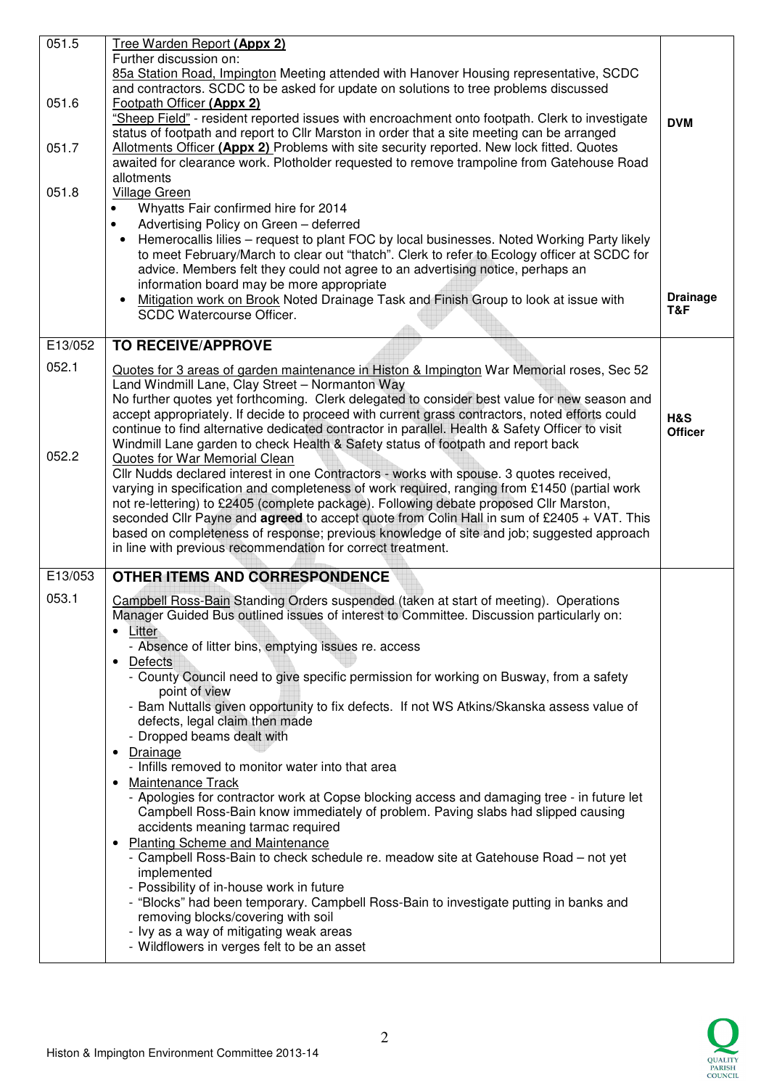| 051.5   | Tree Warden Report (Appx 2)                                                                                                                                                         |                 |
|---------|-------------------------------------------------------------------------------------------------------------------------------------------------------------------------------------|-----------------|
|         | Further discussion on:                                                                                                                                                              |                 |
|         | 85a Station Road, Impington Meeting attended with Hanover Housing representative, SCDC<br>and contractors. SCDC to be asked for update on solutions to tree problems discussed      |                 |
| 051.6   | Footpath Officer (Appx 2)                                                                                                                                                           |                 |
|         | "Sheep Field" - resident reported issues with encroachment onto footpath. Clerk to investigate                                                                                      | <b>DVM</b>      |
|         | status of footpath and report to Cllr Marston in order that a site meeting can be arranged                                                                                          |                 |
| 051.7   | Allotments Officer (Appx 2) Problems with site security reported. New lock fitted. Quotes                                                                                           |                 |
|         | awaited for clearance work. Plotholder requested to remove trampoline from Gatehouse Road                                                                                           |                 |
|         | allotments                                                                                                                                                                          |                 |
| 051.8   | Village Green                                                                                                                                                                       |                 |
|         | Whyatts Fair confirmed hire for 2014<br>$\bullet$                                                                                                                                   |                 |
|         | Advertising Policy on Green - deferred<br>$\bullet$<br>Hemerocallis lilies - request to plant FOC by local businesses. Noted Working Party likely                                   |                 |
|         | to meet February/March to clear out "thatch". Clerk to refer to Ecology officer at SCDC for                                                                                         |                 |
|         | advice. Members felt they could not agree to an advertising notice, perhaps an                                                                                                      |                 |
|         | information board may be more appropriate                                                                                                                                           |                 |
|         | Mitigation work on Brook Noted Drainage Task and Finish Group to look at issue with                                                                                                 | <b>Drainage</b> |
|         | SCDC Watercourse Officer.                                                                                                                                                           | T&F             |
|         |                                                                                                                                                                                     |                 |
| E13/052 | <b>TO RECEIVE/APPROVE</b>                                                                                                                                                           |                 |
| 052.1   | Quotes for 3 areas of garden maintenance in Histon & Impington War Memorial roses, Sec 52                                                                                           |                 |
|         | Land Windmill Lane, Clay Street - Normanton Way                                                                                                                                     |                 |
|         | No further quotes yet forthcoming. Clerk delegated to consider best value for new season and                                                                                        |                 |
|         | accept appropriately. If decide to proceed with current grass contractors, noted efforts could                                                                                      | H&S             |
|         | continue to find alternative dedicated contractor in parallel. Health & Safety Officer to visit<br>Windmill Lane garden to check Health & Safety status of footpath and report back | <b>Officer</b>  |
| 052.2   | Quotes for War Memorial Clean                                                                                                                                                       |                 |
|         | Cllr Nudds declared interest in one Contractors - works with spouse. 3 quotes received,                                                                                             |                 |
|         | varying in specification and completeness of work required, ranging from £1450 (partial work                                                                                        |                 |
|         | not re-lettering) to £2405 (complete package). Following debate proposed Cllr Marston,                                                                                              |                 |
|         | seconded Cllr Payne and agreed to accept quote from Colin Hall in sum of £2405 + VAT. This                                                                                          |                 |
|         | based on completeness of response; previous knowledge of site and job; suggested approach<br>in line with previous recommendation for correct treatment.                            |                 |
|         |                                                                                                                                                                                     |                 |
| E13/053 | <b>OTHER ITEMS AND CORRESPONDENCE</b>                                                                                                                                               |                 |
| 053.1   | Campbell Ross-Bain Standing Orders suspended (taken at start of meeting). Operations                                                                                                |                 |
|         | Manager Guided Bus outlined issues of interest to Committee. Discussion particularly on:                                                                                            |                 |
|         | • Litter                                                                                                                                                                            |                 |
|         | - Absence of litter bins, emptying issues re. access                                                                                                                                |                 |
|         | • Defects<br>- County Council need to give specific permission for working on Busway, from a safety                                                                                 |                 |
|         | point of view                                                                                                                                                                       |                 |
|         | - Bam Nuttalls given opportunity to fix defects. If not WS Atkins/Skanska assess value of                                                                                           |                 |
|         | defects, legal claim then made                                                                                                                                                      |                 |
|         | - Dropped beams dealt with                                                                                                                                                          |                 |
|         | • Drainage                                                                                                                                                                          |                 |
|         | - Infills removed to monitor water into that area                                                                                                                                   |                 |
|         | • Maintenance Track                                                                                                                                                                 |                 |
|         | - Apologies for contractor work at Copse blocking access and damaging tree - in future let<br>Campbell Ross-Bain know immediately of problem. Paving slabs had slipped causing      |                 |
|         | accidents meaning tarmac required                                                                                                                                                   |                 |
|         | Planting Scheme and Maintenance<br>$\bullet$                                                                                                                                        |                 |
|         | - Campbell Ross-Bain to check schedule re. meadow site at Gatehouse Road - not yet                                                                                                  |                 |
|         | implemented                                                                                                                                                                         |                 |
|         | - Possibility of in-house work in future                                                                                                                                            |                 |
|         | - "Blocks" had been temporary. Campbell Ross-Bain to investigate putting in banks and                                                                                               |                 |
|         | removing blocks/covering with soil<br>- Ivy as a way of mitigating weak areas                                                                                                       |                 |
|         | - Wildflowers in verges felt to be an asset                                                                                                                                         |                 |
|         |                                                                                                                                                                                     |                 |